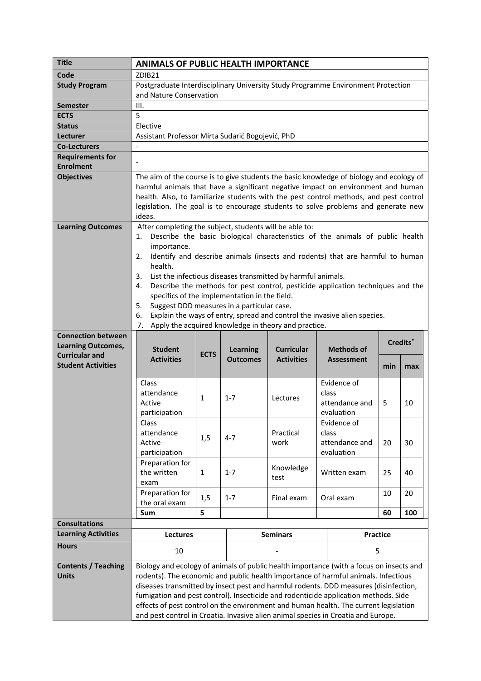| <b>Title</b>                                       | <b>ANIMALS OF PUBLIC HEALTH IMPORTANCE</b>                                                                                                                                                                                                                                                                                                                                                                                                                                                                                                                                                                                                                                           |              |                                    |                                        |                                                      |                      |     |  |
|----------------------------------------------------|--------------------------------------------------------------------------------------------------------------------------------------------------------------------------------------------------------------------------------------------------------------------------------------------------------------------------------------------------------------------------------------------------------------------------------------------------------------------------------------------------------------------------------------------------------------------------------------------------------------------------------------------------------------------------------------|--------------|------------------------------------|----------------------------------------|------------------------------------------------------|----------------------|-----|--|
| Code                                               | ZDIB21                                                                                                                                                                                                                                                                                                                                                                                                                                                                                                                                                                                                                                                                               |              |                                    |                                        |                                                      |                      |     |  |
| <b>Study Program</b>                               | Postgraduate Interdisciplinary University Study Programme Environment Protection                                                                                                                                                                                                                                                                                                                                                                                                                                                                                                                                                                                                     |              |                                    |                                        |                                                      |                      |     |  |
|                                                    | and Nature Conservation                                                                                                                                                                                                                                                                                                                                                                                                                                                                                                                                                                                                                                                              |              |                                    |                                        |                                                      |                      |     |  |
| Semester                                           | Ш.                                                                                                                                                                                                                                                                                                                                                                                                                                                                                                                                                                                                                                                                                   |              |                                    |                                        |                                                      |                      |     |  |
| <b>ECTS</b>                                        | 5                                                                                                                                                                                                                                                                                                                                                                                                                                                                                                                                                                                                                                                                                    |              |                                    |                                        |                                                      |                      |     |  |
| <b>Status</b>                                      | Elective                                                                                                                                                                                                                                                                                                                                                                                                                                                                                                                                                                                                                                                                             |              |                                    |                                        |                                                      |                      |     |  |
| Lecturer                                           | Assistant Professor Mirta Sudarić Bogojević, PhD                                                                                                                                                                                                                                                                                                                                                                                                                                                                                                                                                                                                                                     |              |                                    |                                        |                                                      |                      |     |  |
| <b>Co-Lecturers</b>                                | $\overline{a}$                                                                                                                                                                                                                                                                                                                                                                                                                                                                                                                                                                                                                                                                       |              |                                    |                                        |                                                      |                      |     |  |
| <b>Requirements for</b>                            |                                                                                                                                                                                                                                                                                                                                                                                                                                                                                                                                                                                                                                                                                      |              |                                    |                                        |                                                      |                      |     |  |
| <b>Enrolment</b>                                   |                                                                                                                                                                                                                                                                                                                                                                                                                                                                                                                                                                                                                                                                                      |              |                                    |                                        |                                                      |                      |     |  |
| <b>Objectives</b>                                  | The aim of the course is to give students the basic knowledge of biology and ecology of<br>harmful animals that have a significant negative impact on environment and human<br>health. Also, to familiarize students with the pest control methods, and pest control<br>legislation. The goal is to encourage students to solve problems and generate new<br>ideas.                                                                                                                                                                                                                                                                                                                  |              |                                    |                                        |                                                      |                      |     |  |
| <b>Learning Outcomes</b>                           | After completing the subject, students will be able to:<br>Describe the basic biological characteristics of the animals of public health<br>1.<br>importance.<br>Identify and describe animals (insects and rodents) that are harmful to human<br>2.<br>health.<br>List the infectious diseases transmitted by harmful animals.<br>3.<br>Describe the methods for pest control, pesticide application techniques and the<br>4.<br>specifics of the implementation in the field.<br>Suggest DDD measures in a particular case.<br>5.<br>Explain the ways of entry, spread and control the invasive alien species.<br>6.<br>Apply the acquired knowledge in theory and practice.<br>7. |              |                                    |                                        |                                                      |                      |     |  |
| <b>Connection between</b>                          |                                                                                                                                                                                                                                                                                                                                                                                                                                                                                                                                                                                                                                                                                      |              |                                    |                                        |                                                      |                      |     |  |
| <b>Learning Outcomes,</b>                          | <b>Student</b>                                                                                                                                                                                                                                                                                                                                                                                                                                                                                                                                                                                                                                                                       |              | <b>Learning</b><br><b>Outcomes</b> | <b>Curricular</b><br><b>Activities</b> | <b>Methods of</b><br><b>Assessment</b>               | Credits <sup>*</sup> |     |  |
| <b>Curricular and</b><br><b>Student Activities</b> | <b>Activities</b>                                                                                                                                                                                                                                                                                                                                                                                                                                                                                                                                                                                                                                                                    | <b>ECTS</b>  |                                    |                                        |                                                      | min                  | max |  |
|                                                    | Class<br>attendance<br>Active<br>participation                                                                                                                                                                                                                                                                                                                                                                                                                                                                                                                                                                                                                                       | $\mathbf{1}$ | $1 - 7$                            | Lectures                               | Evidence of<br>class<br>attendance and<br>evaluation | 5                    | 10  |  |
|                                                    | Class<br>attendance<br>Active<br>participation                                                                                                                                                                                                                                                                                                                                                                                                                                                                                                                                                                                                                                       | 1,5          | $4 - 7$                            | Practical<br>work                      | Evidence of<br>class<br>attendance and<br>evaluation | 20                   | 30  |  |
|                                                    | Preparation for<br>the written<br>exam                                                                                                                                                                                                                                                                                                                                                                                                                                                                                                                                                                                                                                               | $\mathbf{1}$ | $1 - 7$                            | Knowledge<br>test                      | Written exam                                         | 25                   | 40  |  |
|                                                    | Preparation for<br>the oral exam                                                                                                                                                                                                                                                                                                                                                                                                                                                                                                                                                                                                                                                     | 1,5          | $1 - 7$                            | Final exam                             | Oral exam                                            | 10                   | 20  |  |
|                                                    | Sum                                                                                                                                                                                                                                                                                                                                                                                                                                                                                                                                                                                                                                                                                  | 5            |                                    |                                        |                                                      | 60                   | 100 |  |
| <b>Consultations</b>                               |                                                                                                                                                                                                                                                                                                                                                                                                                                                                                                                                                                                                                                                                                      |              |                                    |                                        |                                                      |                      |     |  |
| <b>Learning Activities</b>                         | <b>Lectures</b>                                                                                                                                                                                                                                                                                                                                                                                                                                                                                                                                                                                                                                                                      |              |                                    | <b>Seminars</b>                        |                                                      | Practice             |     |  |
| <b>Hours</b>                                       | 10                                                                                                                                                                                                                                                                                                                                                                                                                                                                                                                                                                                                                                                                                   |              |                                    | 5                                      |                                                      |                      |     |  |
| <b>Contents / Teaching</b><br><b>Units</b>         | Biology and ecology of animals of public health importance (with a focus on insects and<br>rodents). The economic and public health importance of harmful animals. Infectious<br>diseases transmitted by insect pest and harmful rodents. DDD measures (disinfection,<br>fumigation and pest control). Insecticide and rodenticide application methods. Side<br>effects of pest control on the environment and human health. The current legislation<br>and pest control in Croatia. Invasive alien animal species in Croatia and Europe.                                                                                                                                            |              |                                    |                                        |                                                      |                      |     |  |